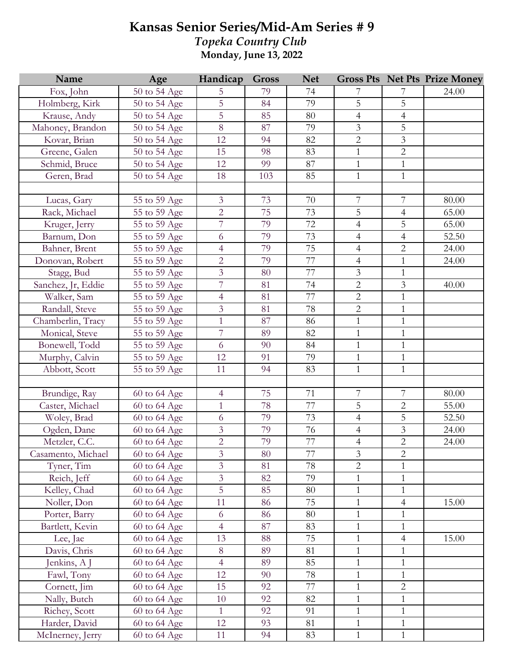## **Kansas Senior Series/Mid-Am Series # 9** *Topeka Country Club* **Monday, June 13, 2022**

| Name               | Age                       | Handicap       | <b>Gross</b> | <b>Net</b>      |                          |                  | <b>Gross Pts Net Pts Prize Money</b> |
|--------------------|---------------------------|----------------|--------------|-----------------|--------------------------|------------------|--------------------------------------|
| Fox, John          | 50 to 54 Age              | 5              | 79           | 74              | 7                        | 7                | 24.00                                |
| Holmberg, Kirk     | 50 to 54 Age              | 5              | 84           | 79              | 5                        | 5                |                                      |
| Krause, Andy       | 50 to 54 Age              | 5              | 85           | 80              | $\overline{4}$           | $\overline{4}$   |                                      |
| Mahoney, Brandon   | 50 to 54 Age              | 8              | 87           | 79              | $\overline{3}$           | 5                |                                      |
| Kovar, Brian       | 50 to 54 Age              | 12             | 94           | 82              | $\overline{c}$           | 3                |                                      |
| Greene, Galen      | 50 to 54 Age              | 15             | 98           | 83              | $\mathbf{1}$             | $\overline{2}$   |                                      |
| Schmid, Bruce      | 50 to 54 Age              | 12             | 99           | 87              | $\,1$                    | $\mathbf{1}$     |                                      |
| Geren, Brad        | 50 to 54 Age              | 18             | 103          | 85              | $\mathbf{1}$             | $\mathbf{1}$     |                                      |
|                    |                           |                |              |                 |                          |                  |                                      |
| Lucas, Gary        | 55 to 59 Age              | $\mathfrak{Z}$ | 73           | 70              | 7                        | 7                | 80.00                                |
| Rack, Michael      | 55 to 59 Age              | $\overline{2}$ | 75           | 73              | 5                        | $\overline{4}$   | 65.00                                |
| Kruger, Jerry      | 55 to 59 Age              | $\overline{7}$ | 79           | 72              | $\overline{4}$           | 5                | 65.00                                |
| Barnum, Don        | 55 to 59 Age              | 6              | 79           | 73              | $\overline{4}$           | $\overline{4}$   | 52.50                                |
| Bahner, Brent      | 55 to 59 Age              | $\overline{4}$ | 79           | $\overline{75}$ | $\overline{4}$           | $\overline{2}$   | 24.00                                |
| Donovan, Robert    | 55 to 59 Age              | $\overline{2}$ | 79           | 77              | $\overline{4}$           | $\mathbf{1}$     | 24.00                                |
| Stagg, Bud         | 55 to 59 Age              | 3              | 80           | 77              | $\mathfrak{Z}$           | $\mathbf{1}$     |                                      |
| Sanchez, Jr, Eddie | 55 to 59 Age              | $\overline{7}$ | 81           | 74              | $\mathbf 2$              | $\mathfrak{Z}$   | 40.00                                |
| Walker, Sam        | 55 to 59 Age              | $\overline{4}$ | 81           | 77              | $\overline{2}$           | $\mathbf{1}$     |                                      |
| Randall, Steve     | 55 to 59 Age              | $\overline{3}$ | 81           | 78              | $\overline{2}$           | $\mathbf{1}$     |                                      |
| Chamberlin, Tracy  | 55 to 59 Age              | $\mathbf{1}$   | 87           | 86              | $\mathbf{1}$             | $\mathbf{1}$     |                                      |
| Monical, Steve     | 55 to 59 Age              | $\overline{7}$ | 89           | 82              | $\mathbf{1}$             | $\mathbf{1}$     |                                      |
| Bonewell, Todd     | 55 to 59 Age              | 6              | 90           | 84              | $\mathbf{1}$             | $\mathbf{1}$     |                                      |
| Murphy, Calvin     | 55 to 59 Age              | 12             | 91           | 79              | $\mathbf{1}$             | $\mathbf{1}$     |                                      |
| Abbott, Scott      | 55 to 59 Age              | 11             | 94           | 83              | $\mathbf{1}$             | $\mathbf{1}$     |                                      |
|                    |                           |                |              |                 |                          |                  |                                      |
| Brundige, Ray      | 60 to 64 Age              | $\overline{4}$ | 75           | 71              | $\overline{\mathcal{I}}$ | $\boldsymbol{7}$ | 80.00                                |
| Caster, Michael    | 60 to 64 Age              | $\mathbf{1}$   | 78           | 77              | 5                        | $\overline{2}$   | 55.00                                |
| Woley, Brad        | 60 to 64 Age              | 6              | 79           | 73              | $\overline{4}$           | 5                | 52.50                                |
| Ogden, Dane        | 60 to 64 Age              | $\mathfrak{Z}$ | 79           | 76              | $\overline{4}$           | $\mathfrak{Z}$   | 24.00                                |
| Metzler, C.C.      | 60 to 64 Age              | $\overline{2}$ | 79           | 77              | $\overline{4}$           | $\overline{2}$   | 24.00                                |
| Casamento, Michael | 60 to 64 Age              | 3              | 80           | 77              | 3                        | $\overline{2}$   |                                      |
| Tyner, Tim         | $\overline{60}$ to 64 Age | $\overline{3}$ | 81           | 78              | $\overline{2}$           | $\mathbf{1}$     |                                      |
| Reich, Jeff        | 60 to 64 Age              | $\mathfrak{Z}$ | 82           | 79              | $\mathbf{1}$             | $\mathbf{1}$     |                                      |
| Kelley, Chad       | 60 to 64 Age              | 5              | 85           | 80              | $\mathbf{1}$             | $\mathbf{1}$     |                                      |
| Noller, Don        | 60 to 64 Age              | 11             | 86           | 75              | $\mathbf{1}$             | $\overline{4}$   | 15.00                                |
| Porter, Barry      | 60 to 64 Age              | 6              | 86           | 80              | $\mathbf{1}$             | 1                |                                      |
| Bartlett, Kevin    | 60 to 64 Age              | $\overline{4}$ | 87           | 83              | $\mathbf{1}$             | $\mathbf{1}$     |                                      |
| Lee, Jae           | 60 to 64 Age              | 13             | 88           | 75              | $\mathbf{1}$             | $\overline{4}$   | 15.00                                |
| Davis, Chris       | 60 to 64 Age              | 8              | 89           | 81              | $\mathbf{1}$             | $\mathbf{1}$     |                                      |
| Jenkins, A J       | 60 to 64 Age              | $\overline{4}$ | 89           | 85              | $\mathbf{1}$             | $\mathbf{1}$     |                                      |
| Fawl, Tony         | 60 to 64 Age              | 12             | 90           | 78              | $\mathbf{1}$             | $\mathbf{1}$     |                                      |
| Cornett, Jim       | 60 to 64 Age              | 15             | 92           | 77              | $\mathbf{1}$             | $\overline{c}$   |                                      |
| Nally, Butch       | 60 to 64 Age              | 10             | 92           | 82              | $\mathbf{1}$             | $\mathbf{1}$     |                                      |
| Richey, Scott      | 60 to 64 Age              | $\mathbf{1}$   | 92           | 91              | $\mathbf{1}$             | $\mathbf{1}$     |                                      |
| Harder, David      | 60 to 64 Age              | 12             | 93           | 81              | $\mathbf{1}$             | $\mathbf{1}$     |                                      |
| McInerney, Jerry   | 60 to 64 Age              | 11             | 94           | 83              | $\mathbf{1}$             | $\mathbf{1}$     |                                      |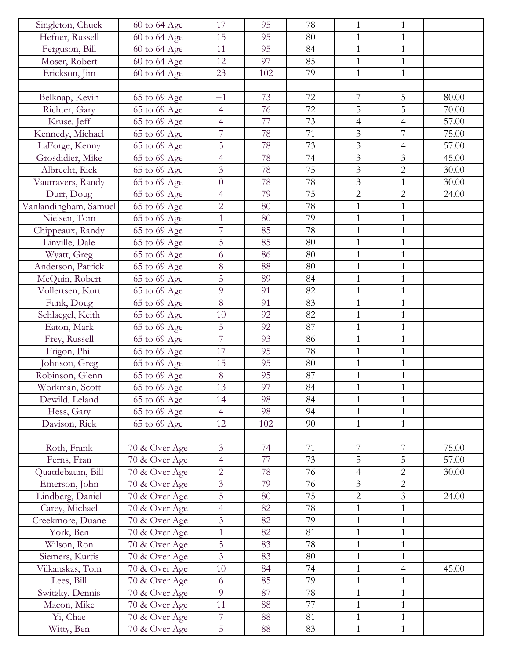| Singleton, Chuck      | 60 to 64 Age  | 17             | 95     | 78 | $\mathbf{1}$   | $\mathbf{1}$   |       |
|-----------------------|---------------|----------------|--------|----|----------------|----------------|-------|
| Hefner, Russell       | 60 to 64 Age  | 15             | 95     | 80 | $\mathbf{1}$   | $\mathbf{1}$   |       |
| Ferguson, Bill        | 60 to 64 Age  | 11             | 95     | 84 | $\mathbf{1}$   | $\mathbf{1}$   |       |
| Moser, Robert         | 60 to 64 Age  | 12             | 97     | 85 | $\mathbf{1}$   | $\mathbf{1}$   |       |
| Erickson, Jim         | 60 to 64 Age  | 23             | 102    | 79 | $\mathbf{1}$   | $\mathbf{1}$   |       |
|                       |               |                |        |    |                |                |       |
| Belknap, Kevin        | 65 to 69 Age  | $+1$           | 73     | 72 | $\sqrt{ }$     | 5              | 80.00 |
| Richter, Gary         | 65 to 69 Age  | $\overline{4}$ | 76     | 72 | 5              | 5              | 70.00 |
| Kruse, Jeff           | 65 to 69 Age  | $\overline{4}$ | 77     | 73 | $\overline{4}$ | $\overline{4}$ | 57.00 |
| Kennedy, Michael      | 65 to 69 Age  | $\overline{7}$ | 78     | 71 | 3              | $\overline{7}$ | 75.00 |
| LaForge, Kenny        | 65 to 69 Age  | 5              | 78     | 73 | $\overline{3}$ | $\overline{4}$ | 57.00 |
| Grosdidier, Mike      | 65 to 69 Age  | $\overline{4}$ | 78     | 74 | $\mathfrak{Z}$ | $\overline{3}$ | 45.00 |
| Albrecht, Rick        | 65 to 69 Age  | $\overline{3}$ | 78     | 75 | $\overline{3}$ | $\overline{2}$ | 30.00 |
| Vautravers, Randy     | 65 to 69 Age  | $\overline{0}$ | 78     | 78 | 3              | $\mathbf{1}$   | 30.00 |
| Durr, Doug            | 65 to 69 Age  | $\overline{4}$ | 79     | 75 | $\overline{2}$ | $\overline{2}$ | 24.00 |
| Vanlandingham, Samuel | 65 to 69 Age  | $\overline{2}$ | 80     | 78 | $\mathbf{1}$   | $\mathbf{1}$   |       |
| Nielsen, Tom          |               | $\mathbf{1}$   | 80     | 79 | $\mathbf{1}$   | $\mathbf{1}$   |       |
|                       | 65 to 69 Age  |                |        |    |                |                |       |
| Chippeaux, Randy      | 65 to 69 Age  | $\overline{7}$ | 85     | 78 | $\mathbf{1}$   | $\mathbf{1}$   |       |
| Linville, Dale        | 65 to 69 Age  | 5              | 85     | 80 | $\mathbf{1}$   | $\mathbf{1}$   |       |
| Wyatt, Greg           | 65 to 69 Age  | 6              | 86     | 80 | $\mathbf{1}$   | $\mathbf{1}$   |       |
| Anderson, Patrick     | 65 to 69 Age  | $8\,$          | 88     | 80 | $\mathbf 1$    | $\mathbf{1}$   |       |
| McQuin, Robert        | 65 to 69 Age  | 5              | 89     | 84 | $\mathbf{1}$   | $\mathbf{1}$   |       |
| Vollertsen, Kurt      | 65 to 69 Age  | 9              | 91     | 82 | $\mathbf{1}$   | $\mathbf{1}$   |       |
| Funk, Doug            | 65 to 69 Age  | 8              | 91     | 83 | $\mathbf{1}$   | $\mathbf{1}$   |       |
| Schlaegel, Keith      | 65 to 69 Age  | 10             | 92     | 82 | $\mathbf{1}$   | $\mathbf{1}$   |       |
| Eaton, Mark           | 65 to 69 Age  | 5              | 92     | 87 | $\mathbf{1}$   | $\mathbf{1}$   |       |
| Frey, Russell         | 65 to 69 Age  | $\overline{7}$ | 93     | 86 | $\mathbf{1}$   | $\mathbf{1}$   |       |
| Frigon, Phil          | 65 to 69 Age  | 17             | 95     | 78 | $\mathbf{1}$   | $\mathbf{1}$   |       |
| Johnson, Greg         | 65 to 69 Age  | 15             | 95     | 80 | $\mathbf{1}$   | $\mathbf{1}$   |       |
| Robinson, Glenn       | 65 to 69 Age  | $8\,$          | 95     | 87 | $\mathbf{1}$   | $\mathbf{1}$   |       |
| Workman, Scott        | 65 to 69 Age  | 13             | 97     | 84 | $\mathbf{1}$   | $\mathbf{1}$   |       |
| Dewild, Leland        | 65 to 69 Age  | 14             | 98     | 84 | $\mathbf{1}$   | $\mathbf{1}$   |       |
| Hess, Gary            | 65 to 69 Age  | $\overline{4}$ | 98     | 94 | $\mathbf{1}$   | $\mathbf{1}$   |       |
| Davison, Rick         | 65 to 69 Age  | 12             | 102    | 90 | $\mathbf{1}$   | $\mathbf{1}$   |       |
|                       |               |                |        |    |                |                |       |
| Roth, Frank           | 70 & Over Age | 3              | 74     | 71 | 7              | 7              | 75.00 |
| Ferns, Fran           | 70 & Over Age | $\overline{4}$ | 77     | 73 | 5              | 5              | 57.00 |
| Quattlebaum, Bill     | 70 & Over Age | $\overline{2}$ | $78\,$ | 76 | $\overline{4}$ | $\overline{2}$ | 30.00 |
| Emerson, John         | 70 & Over Age | $\overline{3}$ | 79     | 76 | 3              | $\overline{2}$ |       |
| Lindberg, Daniel      | 70 & Over Age | 5              | 80     | 75 | $\overline{c}$ | 3              | 24.00 |
|                       |               |                | 82     | 78 | $\mathbf{1}$   | $\mathbf{1}$   |       |
| Carey, Michael        | 70 & Over Age | $\overline{4}$ |        |    |                |                |       |
| Creekmore, Duane      | 70 & Over Age | 3              | 82     | 79 | $\mathbf{1}$   | $\mathbf{1}$   |       |
| York, Ben             | 70 & Over Age | $\mathbf{1}$   | 82     | 81 | $\mathbf{1}$   | $\mathbf{1}$   |       |
| Wilson, Ron           | 70 & Over Age | 5              | 83     | 78 | $\mathbf{1}$   | $\mathbf{1}$   |       |
| Siemers, Kurtis       | 70 & Over Age | $\mathfrak{Z}$ | 83     | 80 | $\mathbf{1}$   | $\mathbf{1}$   |       |
| Vilkanskas, Tom       | 70 & Over Age | 10             | 84     | 74 | $\mathbf{1}$   | $\overline{4}$ | 45.00 |
| Lees, Bill            | 70 & Over Age | 6              | 85     | 79 | $\mathbf{1}$   | $\mathbf{1}$   |       |
| Switzky, Dennis       | 70 & Over Age | 9              | 87     | 78 | $\mathbf{1}$   | $\mathbf{1}$   |       |
| Macon, Mike           | 70 & Over Age | 11             | 88     | 77 | $\mathbf{1}$   | $\mathbf{1}$   |       |
| Yi, Chae              | 70 & Over Age | $\overline{7}$ | 88     | 81 | $\mathbf{1}$   | $\mathbf{1}$   |       |
| Witty, Ben            | 70 & Over Age | 5              | 88     | 83 | $\mathbf{1}$   | $\mathbf{1}$   |       |